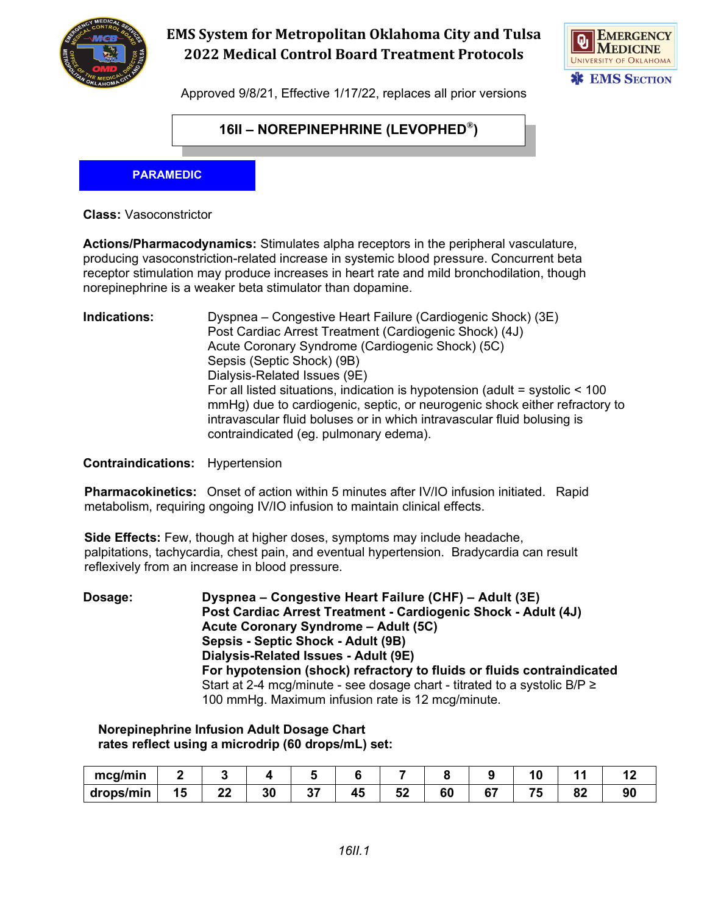

# **EMS System for Metropolitan Oklahoma City and Tulsa 2022 Medical Control Board Treatment Protocols**



Approved 9/8/21, Effective 1/17/22, replaces all prior versions

### **16II – NOREPINEPHRINE (LEVOPHED®)**

#### **PARAMEDIC**

**Class:** Vasoconstrictor

**Actions/Pharmacodynamics:** Stimulates alpha receptors in the peripheral vasculature, producing vasoconstriction-related increase in systemic blood pressure. Concurrent beta receptor stimulation may produce increases in heart rate and mild bronchodilation, though norepinephrine is a weaker beta stimulator than dopamine.

**Indications:** Dyspnea – Congestive Heart Failure (Cardiogenic Shock) (3E) Post Cardiac Arrest Treatment (Cardiogenic Shock) (4J) Acute Coronary Syndrome (Cardiogenic Shock) (5C) Sepsis (Septic Shock) (9B) Dialysis-Related Issues (9E) For all listed situations, indication is hypotension (adult = systolic < 100 mmHg) due to cardiogenic, septic, or neurogenic shock either refractory to intravascular fluid boluses or in which intravascular fluid bolusing is contraindicated (eg. pulmonary edema).

**Contraindications:** Hypertension

**Pharmacokinetics:** Onset of action within 5 minutes after IV/IO infusion initiated. Rapid metabolism, requiring ongoing IV/IO infusion to maintain clinical effects.

**Side Effects:** Few, though at higher doses, symptoms may include headache, palpitations, tachycardia, chest pain, and eventual hypertension. Bradycardia can result reflexively from an increase in blood pressure.

**Dosage: Dyspnea – Congestive Heart Failure (CHF) – Adult (3E) Post Cardiac Arrest Treatment - Cardiogenic Shock - Adult (4J) Acute Coronary Syndrome – Adult (5C) Sepsis - Septic Shock - Adult (9B) Dialysis-Related Issues - Adult (9E) For hypotension (shock) refractory to fluids or fluids contraindicated** Start at 2-4 mcg/minute - see dosage chart - titrated to a systolic  $B/P \ge$ 100 mmHg. Maximum infusion rate is 12 mcg/minute.

#### **Norepinephrine Infusion Adult Dosage Chart rates reflect using a microdrip (60 drops/mL) set:**

| mcq/min   |           |            |            |    |          |    |    |     |          |    |
|-----------|-----------|------------|------------|----|----------|----|----|-----|----------|----|
| drops/min | n n<br>-- | or.<br>IJι | $-1$<br>v, | 42 | -0<br>◡▵ | 60 | e- | - - | n,<br>◡▴ | 90 |